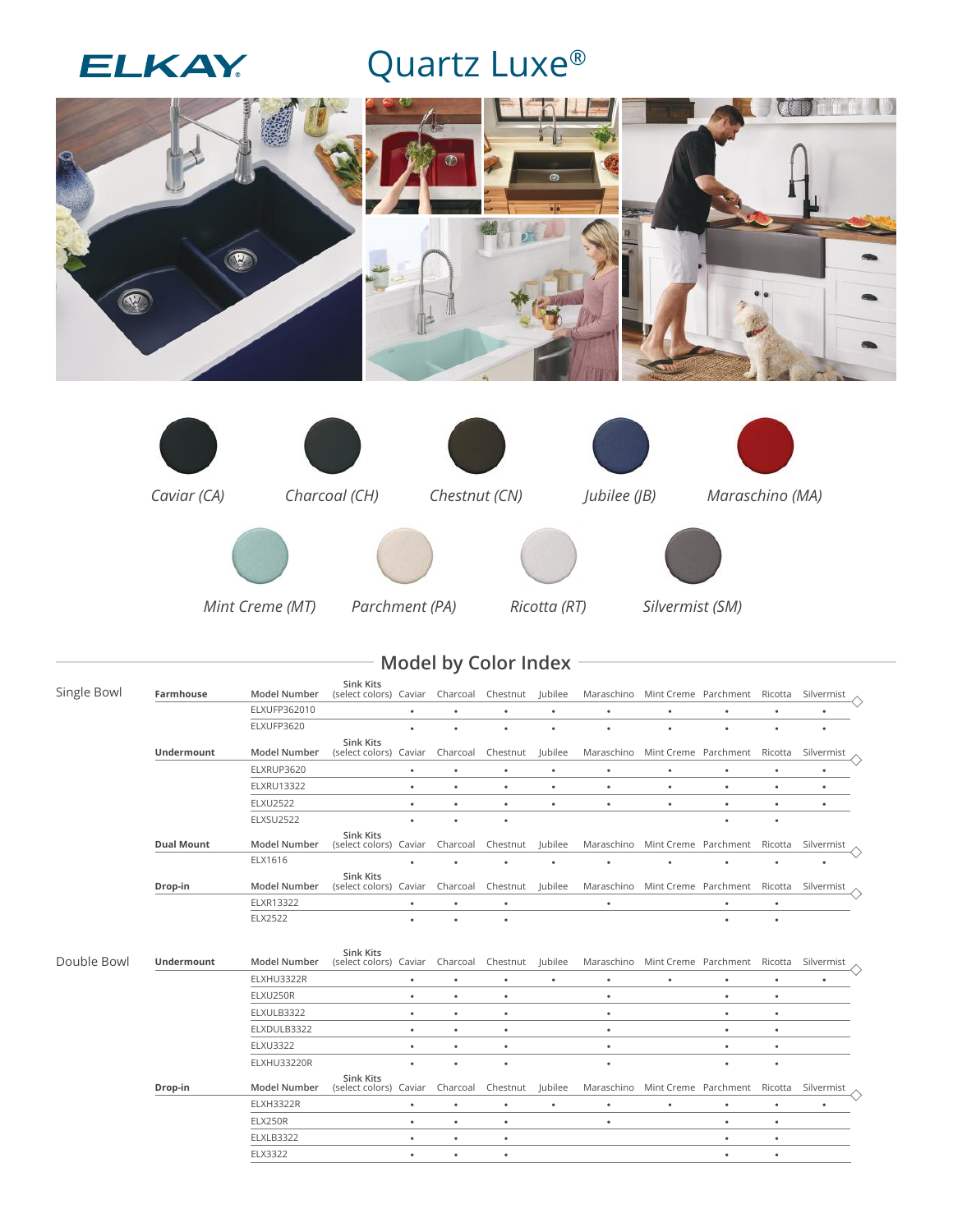

## Quartz Luxe®



*Mint Creme (MT) Parchment (PA) Ricotta (RT) Silvermist (SM)*

## **Model by Color Index**

| Single Bowl | Farmhouse         | <b>Model Number</b> | Sink Kits<br>(select colors) Caviar        |           | Charcoal  | Chestnut  | Jubilee        |            | Maraschino Mint Creme Parchment Ricotta |           |           | Silvermist |  |
|-------------|-------------------|---------------------|--------------------------------------------|-----------|-----------|-----------|----------------|------------|-----------------------------------------|-----------|-----------|------------|--|
|             |                   | ELXUFP362010        |                                            |           |           | ٠         | ٠              | ٠          | ٠                                       | ٠         | $\bullet$ | ٠          |  |
|             |                   | ELXUFP3620          |                                            |           |           | $\bullet$ | ٠              |            | $\bullet$                               | ٠         | ٠         | ٠          |  |
|             | Undermount        | <b>Model Number</b> | <b>Sink Kits</b><br>(select colors) Caviar |           | Charcoal  | Chestnut  | Jubilee        | Maraschino | Mint Creme Parchment Ricotta            |           |           | Silvermist |  |
|             |                   | ELXRUP3620          |                                            | $\bullet$ | $\bullet$ | ٠         | ٠              | ٠          | ٠                                       | ٠         | $\bullet$ | ٠          |  |
|             |                   | <b>ELXRU13322</b>   |                                            | ٠         | $\bullet$ | $\bullet$ | ٠              | ٠          | $\bullet$                               | $\bullet$ | $\bullet$ |            |  |
|             |                   | <b>ELXU2522</b>     |                                            | ٠         | $\bullet$ | ٠         | ٠              | ٠          | ٠                                       | ٠         | $\bullet$ |            |  |
|             |                   | <b>ELXSU2522</b>    |                                            |           |           | $\bullet$ |                |            |                                         | ٠         | ٠         |            |  |
|             | <b>Dual Mount</b> | <b>Model Number</b> | Sink Kits<br>(select colors) Caviar        |           | Charcoal  | Chestnut  | Jubilee        | Maraschino | Mint Creme Parchment Ricotta            |           |           | Silvermist |  |
|             |                   | ELX1616             |                                            |           |           | ٠         | ٠              |            |                                         |           | $\bullet$ |            |  |
|             | Drop-in           | <b>Model Number</b> | Sink Kits<br>(select colors) Caviar        |           | Charcoal  | Chestnut  | <b>Jubilee</b> | Maraschino | Mint Creme Parchment                    |           | Ricotta   | Silvermist |  |
|             |                   | ELXR13322           |                                            | ٠         | ٠         | $\bullet$ |                | ٠          |                                         | ٠         | $\bullet$ |            |  |
|             |                   | <b>ELX2522</b>      |                                            |           |           | $\bullet$ |                |            |                                         | ٠         | $\bullet$ |            |  |
| Double Bowl | Undermount        | Model Number        | <b>Sink Kits</b><br>(select colors) Caviar |           | Charcoal  | Chestnut  | Jubilee        | Maraschino | Mint Creme Parchment Ricotta            |           |           | Silvermist |  |
|             |                   | ELXHU3322R          |                                            | $\bullet$ | $\bullet$ | ٠         | ٠              | $\bullet$  |                                         | ٠         | $\bullet$ |            |  |
|             |                   | ELXU250R            |                                            | ٠         | ٠         | $\bullet$ |                | ٠          |                                         | $\bullet$ | ٠         |            |  |
|             |                   | ELXULB3322          |                                            | ٠         | $\bullet$ | $\bullet$ |                | ٠          |                                         | $\bullet$ | $\bullet$ |            |  |
|             |                   | ELXDULB3322         |                                            | ٠         | $\bullet$ | $\bullet$ |                | ٠          |                                         | $\bullet$ | $\bullet$ |            |  |
|             |                   | <b>ELXU3322</b>     |                                            | ٠         | ٠         | $\bullet$ |                | $\bullet$  |                                         | $\bullet$ | $\bullet$ |            |  |
|             |                   | ELXHU33220R         |                                            |           |           | $\bullet$ |                | ٠          |                                         | ٠         | ٠         |            |  |
|             | Drop-in           | <b>Model Number</b> | Sink Kits<br>(select colors) Caviar        |           | Charcoal  | Chestnut  | Jubilee        | Maraschino | Mint Creme Parchment Ricotta            |           |           | Silvermist |  |
|             |                   | <b>ELXH3322R</b>    |                                            | ٠         | $\bullet$ | $\bullet$ | ٠              | $\bullet$  | ٠                                       | $\bullet$ | $\bullet$ | ٠          |  |
|             |                   | <b>ELX250R</b>      |                                            | ٠         | $\bullet$ | $\bullet$ |                | ٠          |                                         | $\bullet$ | $\bullet$ |            |  |
|             |                   | <b>ELXLB3322</b>    |                                            | ٠         | $\bullet$ | $\bullet$ |                |            |                                         | $\bullet$ | $\bullet$ |            |  |
|             |                   | ELX3322             |                                            | ٠         | $\bullet$ | ٠         |                |            |                                         | $\bullet$ | ٠         |            |  |